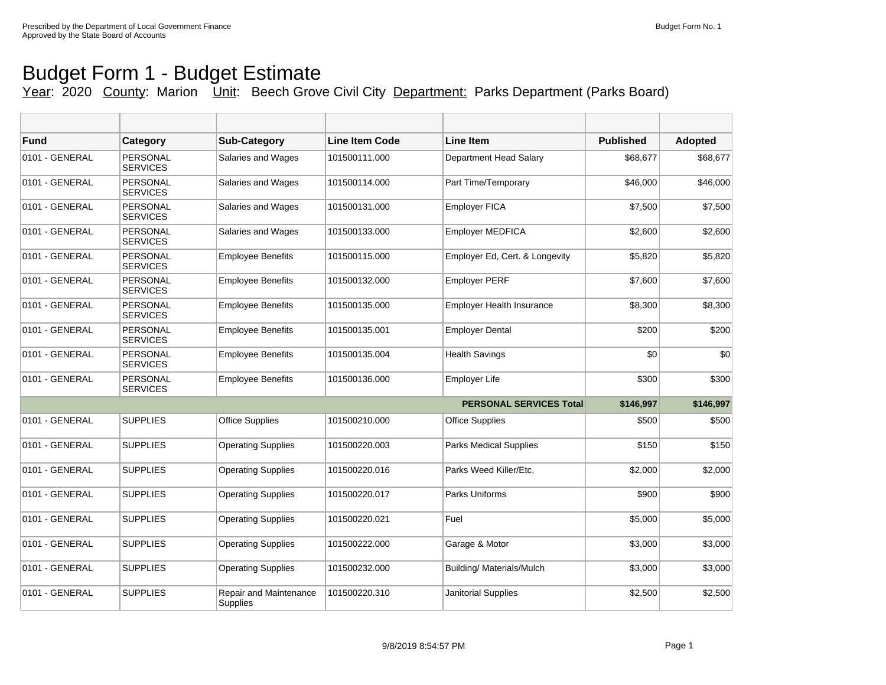## Budget Form 1 - Budget Estimate

## Year: 2020 County: Marion Unit: Beech Grove Civil City Department: Parks Department (Parks Board)

| <b>Fund</b>    | Category                           | <b>Sub-Category</b>                | <b>Line Item Code</b> | Line Item                        | <b>Published</b> | <b>Adopted</b> |
|----------------|------------------------------------|------------------------------------|-----------------------|----------------------------------|------------------|----------------|
| 0101 - GENERAL | <b>PERSONAL</b><br><b>SERVICES</b> | Salaries and Wages                 | 101500111.000         | Department Head Salary           | \$68,677         | \$68,677       |
| 0101 - GENERAL | <b>PERSONAL</b><br><b>SERVICES</b> | Salaries and Wages                 | 101500114.000         | Part Time/Temporary              | \$46,000         | \$46,000       |
| 0101 - GENERAL | <b>PERSONAL</b><br><b>SERVICES</b> | <b>Salaries and Wages</b>          | 101500131.000         | <b>Employer FICA</b>             | \$7,500          | \$7,500        |
| 0101 - GENERAL | <b>PERSONAL</b><br><b>SERVICES</b> | Salaries and Wages                 | 101500133.000         | <b>Employer MEDFICA</b>          | \$2,600          | \$2,600        |
| 0101 - GENERAL | <b>PERSONAL</b><br><b>SERVICES</b> | <b>Employee Benefits</b>           | 101500115.000         | Employer Ed, Cert. & Longevity   | \$5,820          | \$5,820        |
| 0101 - GENERAL | <b>PERSONAL</b><br><b>SERVICES</b> | <b>Employee Benefits</b>           | 101500132.000         | <b>Employer PERF</b>             | \$7,600          | \$7,600        |
| 0101 - GENERAL | PERSONAL<br><b>SERVICES</b>        | <b>Employee Benefits</b>           | 101500135.000         | <b>Employer Health Insurance</b> | \$8,300          | \$8,300        |
| 0101 - GENERAL | <b>PERSONAL</b><br><b>SERVICES</b> | <b>Employee Benefits</b>           | 101500135.001         | <b>Employer Dental</b>           | \$200            | \$200          |
| 0101 - GENERAL | <b>PERSONAL</b><br><b>SERVICES</b> | <b>Employee Benefits</b>           | 101500135.004         | <b>Health Savings</b>            | \$0              | \$0            |
| 0101 - GENERAL | <b>PERSONAL</b><br><b>SERVICES</b> | <b>Employee Benefits</b>           | 101500136.000         | <b>Employer Life</b>             | \$300            | \$300          |
|                |                                    |                                    |                       | <b>PERSONAL SERVICES Total</b>   | \$146.997        | \$146,997      |
| 0101 - GENERAL | <b>SUPPLIES</b>                    | <b>Office Supplies</b>             | 101500210.000         | <b>Office Supplies</b>           | \$500            | \$500          |
| 0101 - GENERAL | <b>SUPPLIES</b>                    | <b>Operating Supplies</b>          | 101500220.003         | <b>Parks Medical Supplies</b>    | \$150            | \$150          |
| 0101 - GENERAL | <b>SUPPLIES</b>                    | <b>Operating Supplies</b>          | 101500220.016         | Parks Weed Killer/Etc.           | \$2,000          | \$2,000        |
| 0101 - GENERAL | <b>SUPPLIES</b>                    | <b>Operating Supplies</b>          | 101500220.017         | Parks Uniforms                   | \$900            | \$900          |
| 0101 - GENERAL | <b>SUPPLIES</b>                    | <b>Operating Supplies</b>          | 101500220.021         | Fuel                             | \$5,000          | \$5,000        |
| 0101 - GENERAL | <b>SUPPLIES</b>                    | <b>Operating Supplies</b>          | 101500222.000         | Garage & Motor                   | \$3,000          | \$3,000        |
| 0101 - GENERAL | <b>SUPPLIES</b>                    | <b>Operating Supplies</b>          | 101500232.000         | Building/ Materials/Mulch        | \$3,000          | \$3,000        |
| 0101 - GENERAL | <b>SUPPLIES</b>                    | Repair and Maintenance<br>Supplies | 101500220.310         | <b>Janitorial Supplies</b>       | \$2,500          | \$2,500        |